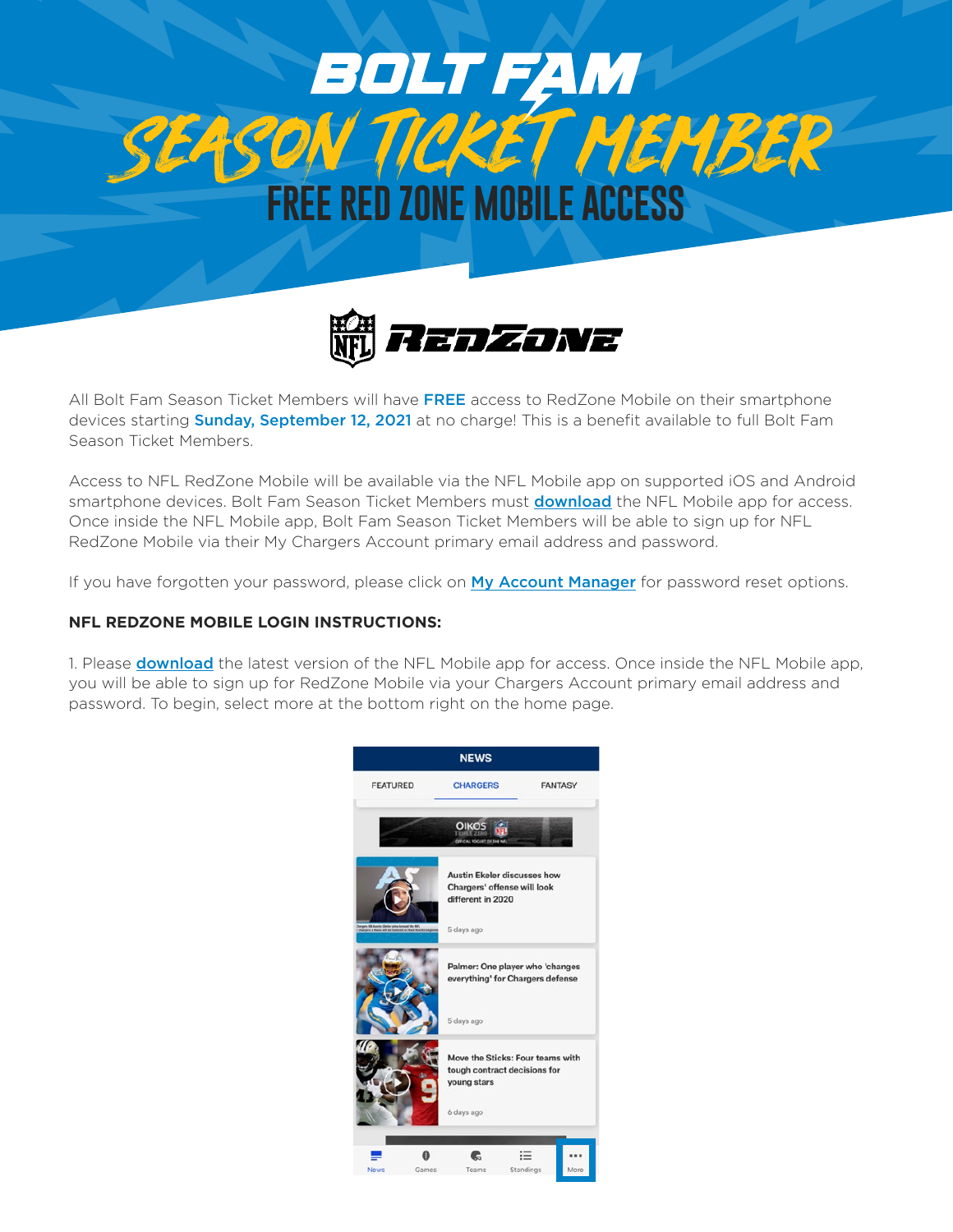



All Bolt Fam Season Ticket Members will have FREE access to RedZone Mobile on their smartphone devices starting **Sunday, September 12, 2021** at no charge! This is a benefit available to full Bolt Fam Season Ticket Members.

Access to NFL RedZone Mobile will be available via the NFL Mobile app on supported iOS and Android smartphone devices. Bolt Fam Season Ticket Members must **download** the NFL Mobile app for access. Once inside the NFL Mobile app, Bolt Fam Season Ticket Members will be able to sign up for NFL RedZone Mobile via their My Chargers Account primary email address and password.

If you have forgotten your password, please click on My Account Manager for password reset options.

## **NFL REDZONE MOBILE LOGIN INSTRUCTIONS:**

1. Please **download** the latest version of the NFL Mobile app for access. Once inside the NFL Mobile app, you will be able to sign up for RedZone Mobile via your Chargers Account primary email address and password. To begin, select more at the bottom right on the home page.

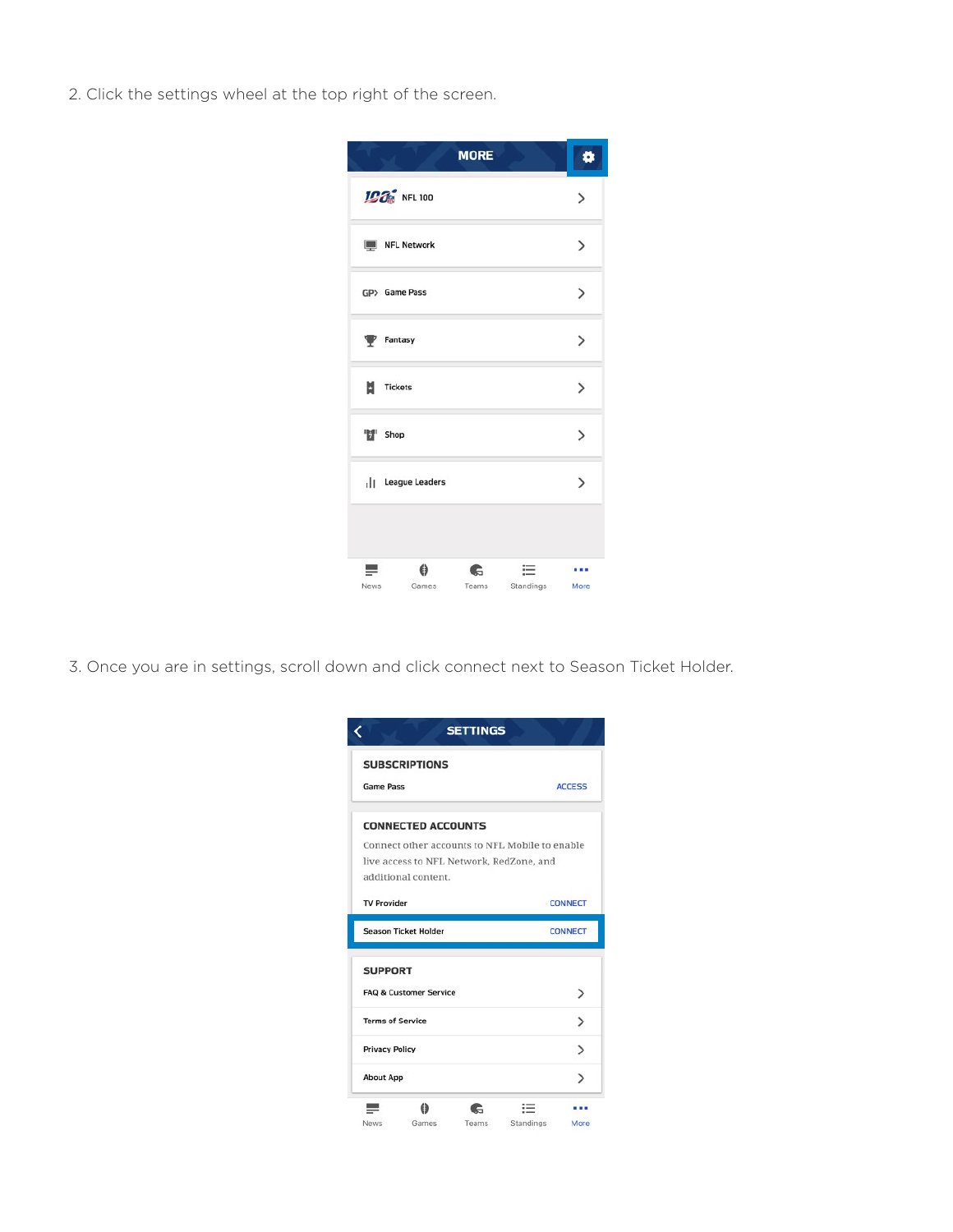2. Click the settings wheel at the top right of the screen.



3. Once you are in settings, scroll down and click connect next to Season Ticket Holder.

| <b>SUBSCRIPTIONS</b>              |   |                |                                                |                |  |  |
|-----------------------------------|---|----------------|------------------------------------------------|----------------|--|--|
| <b>Game Pass</b>                  |   | <b>ACCESS</b>  |                                                |                |  |  |
| <b>CONNECTED ACCOUNTS</b>         |   |                |                                                |                |  |  |
|                                   |   |                | Connect other accounts to NFL Mobile to enable |                |  |  |
|                                   |   |                | live access to NFL Network, RedZone, and       |                |  |  |
| additional content.               |   |                |                                                |                |  |  |
| <b>TV Provider</b>                |   |                |                                                | <b>CONNECT</b> |  |  |
| <b>Season Ticket Holder</b>       |   | <b>CONNECT</b> |                                                |                |  |  |
| <b>SUPPORT</b>                    |   |                |                                                |                |  |  |
| <b>FAQ &amp; Customer Service</b> |   | $\mathcal{P}$  |                                                |                |  |  |
| <b>Terms of Service</b>           | ゝ |                |                                                |                |  |  |
| <b>Privacy Policy</b>             |   |                |                                                | ゝ              |  |  |
|                                   |   |                |                                                | $\mathcal{E}$  |  |  |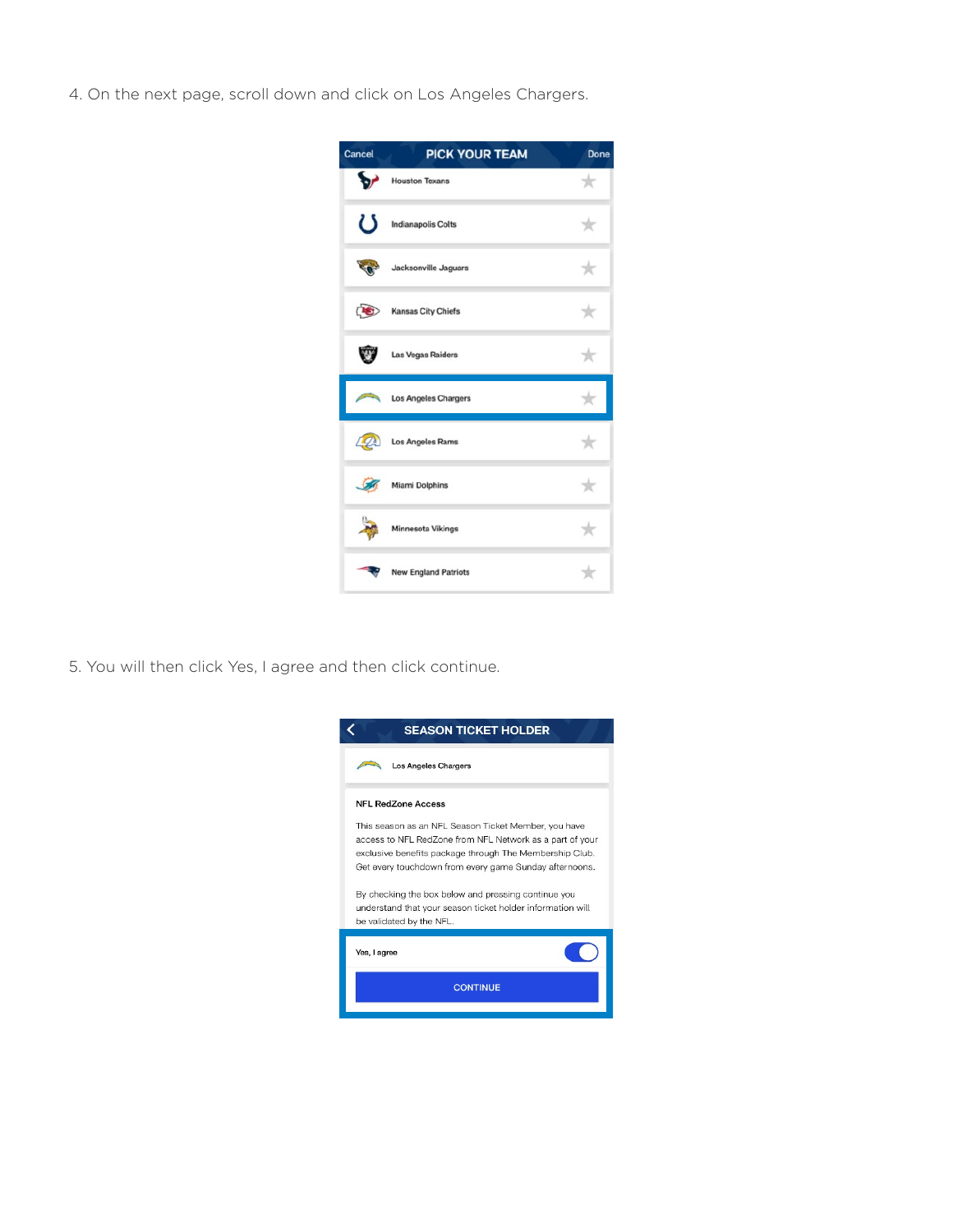4. On the next page, scroll down and click on Los Angeles Chargers.



5. You will then click Yes, I agree and then click continue.